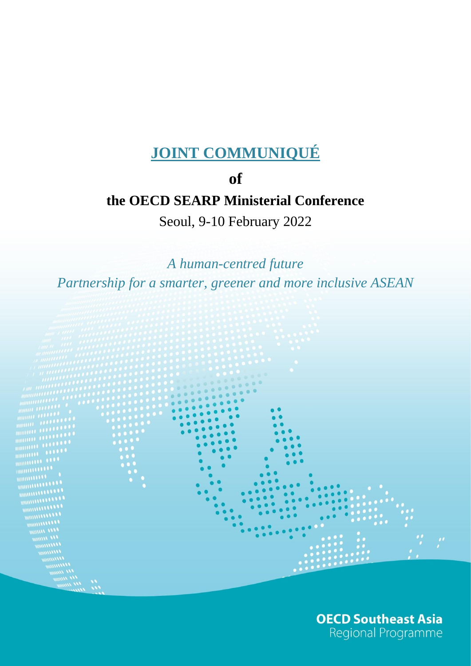# **JOINT COMMUNIQUÉ**

### **of**

# **the OECD SEARP Ministerial Conference**

Seoul, 9-10 February 2022

*A human-centred future Partnership for a smarter, greener and more inclusive ASEAN*



**OECD Southeast Asia** Regional Programme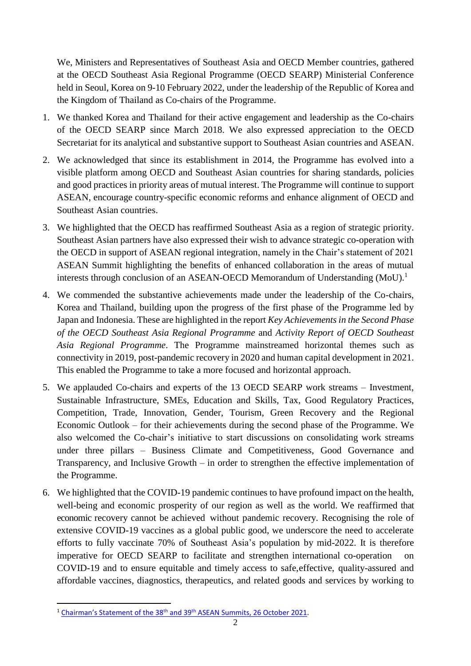We, Ministers and Representatives of Southeast Asia and OECD Member countries, gathered at the OECD Southeast Asia Regional Programme (OECD SEARP) Ministerial Conference held in Seoul, Korea on 9-10 February 2022, under the leadership of the Republic of Korea and the Kingdom of Thailand as Co-chairs of the Programme.

- 1. We thanked Korea and Thailand for their active engagement and leadership as the Co-chairs of the OECD SEARP since March 2018. We also expressed appreciation to the OECD Secretariat for its analytical and substantive support to Southeast Asian countries and ASEAN.
- 2. We acknowledged that since its establishment in 2014, the Programme has evolved into a visible platform among OECD and Southeast Asian countries for sharing standards, policies and good practices in priority areas of mutual interest. The Programme will continue to support ASEAN, encourage country-specific economic reforms and enhance alignment of OECD and Southeast Asian countries.
- 3. We highlighted that the OECD has reaffirmed Southeast Asia as a region of strategic priority. Southeast Asian partners have also expressed their wish to advance strategic co-operation with the OECD in support of ASEAN regional integration, namely in the Chair's statement of 2021 ASEAN Summit highlighting the benefits of enhanced collaboration in the areas of mutual interests through conclusion of an ASEAN-OECD Memorandum of Understanding (MoU).<sup>1</sup>
- 4. We commended the substantive achievements made under the leadership of the Co-chairs, Korea and Thailand, building upon the progress of the first phase of the Programme led by Japan and Indonesia. These are highlighted in the report *Key Achievements in the Second Phase of the OECD Southeast Asia Regional Programme* and *Activity Report of OECD Southeast Asia Regional Programme*. The Programme mainstreamed horizontal themes such as connectivity in 2019, post-pandemic recovery in 2020 and human capital development in 2021. This enabled the Programme to take a more focused and horizontal approach.
- 5. We applauded Co-chairs and experts of the 13 OECD SEARP work streams Investment, Sustainable Infrastructure, SMEs, Education and Skills, Tax, Good Regulatory Practices, Competition, Trade, Innovation, Gender, Tourism, Green Recovery and the Regional Economic Outlook – for their achievements during the second phase of the Programme. We also welcomed the Co-chair's initiative to start discussions on consolidating work streams under three pillars – Business Climate and Competitiveness, Good Governance and Transparency, and Inclusive Growth – in order to strengthen the effective implementation of the Programme.
- 6. We highlighted that the COVID-19 pandemic continues to have profound impact on the health, well-being and economic prosperity of our region as well as the world. We reaffirmed that economic recovery cannot be achieved without pandemic recovery. Recognising the role of extensive COVID-19 vaccines as a global public good, we underscore the need to accelerate efforts to fully vaccinate 70% of Southeast Asia's population by mid-2022. It is therefore imperative for OECD SEARP to facilitate and strengthen international co-operation on COVID-19 and to ensure equitable and timely access to safe,effective, quality-assured and affordable vaccines, diagnostics, therapeutics, and related goods and services by working to

**<sup>.</sup>** <sup>1</sup> [Chairman's Statement of the 38](https://asean.org/wp-content/uploads/2021/10/FINAL-Chairmans-Statement-of-the-38th-and-39th-ASEAN-Summits-26-Oct....pdf)<sup>th</sup> and 39<sup>th</sup> ASEAN Summits, 26 October 2021.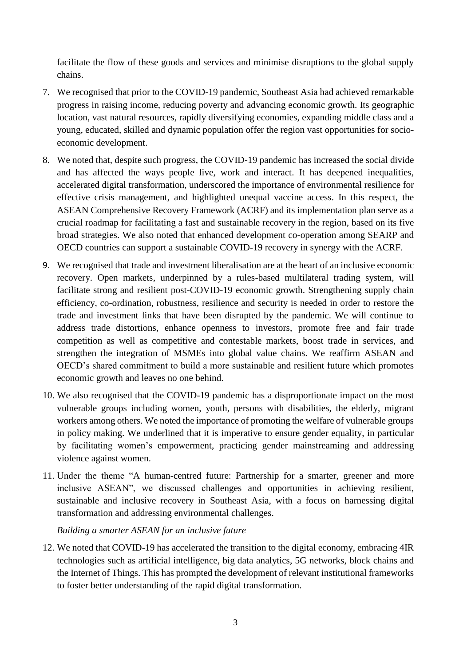facilitate the flow of these goods and services and minimise disruptions to the global supply chains.

- 7. We recognised that prior to the COVID-19 pandemic, Southeast Asia had achieved remarkable progress in raising income, reducing poverty and advancing economic growth. Its geographic location, vast natural resources, rapidly diversifying economies, expanding middle class and a young, educated, skilled and dynamic population offer the region vast opportunities for socioeconomic development.
- 8. We noted that, despite such progress, the COVID-19 pandemic has increased the social divide and has affected the ways people live, work and interact. It has deepened inequalities, accelerated digital transformation, underscored the importance of environmental resilience for effective crisis management, and highlighted unequal vaccine access. In this respect, the ASEAN Comprehensive Recovery Framework (ACRF) and its implementation plan serve as a crucial roadmap for facilitating a fast and sustainable recovery in the region, based on its five broad strategies. We also noted that enhanced development co-operation among SEARP and OECD countries can support a sustainable COVID-19 recovery in synergy with the ACRF.
- 9. We recognised that trade and investment liberalisation are at the heart of an inclusive economic recovery. Open markets, underpinned by a rules-based multilateral trading system, will facilitate strong and resilient post-COVID-19 economic growth. Strengthening supply chain efficiency, co-ordination, robustness, resilience and security is needed in order to restore the trade and investment links that have been disrupted by the pandemic. We will continue to address trade distortions, enhance openness to investors, promote free and fair trade competition as well as competitive and contestable markets, boost trade in services, and strengthen the integration of MSMEs into global value chains. We reaffirm ASEAN and OECD's shared commitment to build a more sustainable and resilient future which promotes economic growth and leaves no one behind.
- 10. We also recognised that the COVID-19 pandemic has a disproportionate impact on the most vulnerable groups including women, youth, persons with disabilities, the elderly, migrant workers among others. We noted the importance of promoting the welfare of vulnerable groups in policy making. We underlined that it is imperative to ensure gender equality, in particular by facilitating women's empowerment, practicing gender mainstreaming and addressing violence against women.
- 11. Under the theme "A human-centred future: Partnership for a smarter, greener and more inclusive ASEAN", we discussed challenges and opportunities in achieving resilient, sustainable and inclusive recovery in Southeast Asia, with a focus on harnessing digital transformation and addressing environmental challenges.

*Building a smarter ASEAN for an inclusive future*

12. We noted that COVID-19 has accelerated the transition to the digital economy, embracing 4IR technologies such as artificial intelligence, big data analytics, 5G networks, block chains and the Internet of Things. This has prompted the development of relevant institutional frameworks to foster better understanding of the rapid digital transformation.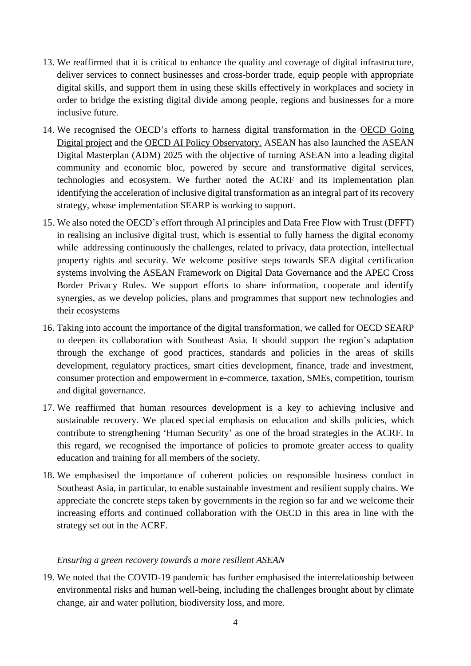- 13. We reaffirmed that it is critical to enhance the quality and coverage of digital infrastructure, deliver services to connect businesses and cross-border trade, equip people with appropriate digital skills, and support them in using these skills effectively in workplaces and society in order to bridge the existing digital divide among people, regions and businesses for a more inclusive future.
- 14. We recognised the OECD's efforts to harness digital transformation in the [OECD Going](https://www.oecd.org/digital/going-digital-project/)  [Digital project](https://www.oecd.org/digital/going-digital-project/) and the OECD [AI Policy Observatory.](https://oecd.ai/) ASEAN has also launched the ASEAN Digital Masterplan (ADM) 2025 with the objective of turning ASEAN into a leading digital community and economic bloc, powered by secure and transformative digital services, technologies and ecosystem. We further noted the ACRF and its implementation plan identifying the acceleration of inclusive digital transformation as an integral part of its recovery strategy, whose implementation SEARP is working to support.
- 15. We also noted the OECD's effort through AI principles and Data Free Flow with Trust (DFFT) in realising an inclusive digital trust, which is essential to fully harness the digital economy while addressing continuously the challenges, related to privacy, data protection, intellectual property rights and security. We welcome positive steps towards SEA digital certification systems involving the ASEAN Framework on Digital Data Governance and the APEC Cross Border Privacy Rules. We support efforts to share information, cooperate and identify synergies, as we develop policies, plans and programmes that support new technologies and their ecosystems
- 16. Taking into account the importance of the digital transformation, we called for OECD SEARP to deepen its collaboration with Southeast Asia. It should support the region's adaptation through the exchange of good practices, standards and policies in the areas of skills development, regulatory practices, smart cities development, finance, trade and investment, consumer protection and empowerment in e-commerce, taxation, SMEs, competition, tourism and digital governance.
- 17. We reaffirmed that human resources development is a key to achieving inclusive and sustainable recovery. We placed special emphasis on education and skills policies, which contribute to strengthening 'Human Security' as one of the broad strategies in the ACRF. In this regard, we recognised the importance of policies to promote greater access to quality education and training for all members of the society.
- 18. We emphasised the importance of coherent policies on responsible business conduct in Southeast Asia, in particular, to enable sustainable investment and resilient supply chains. We appreciate the concrete steps taken by governments in the region so far and we welcome their increasing efforts and continued collaboration with the OECD in this area in line with the strategy set out in the ACRF.

#### *Ensuring a green recovery towards a more resilient ASEAN*

19. We noted that the COVID-19 pandemic has further emphasised the interrelationship between environmental risks and human well-being, including the challenges brought about by climate change, air and water pollution, biodiversity loss, and more.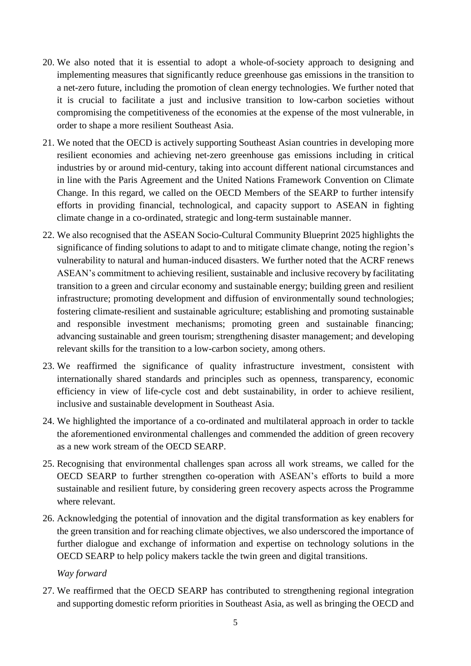- 20. We also noted that it is essential to adopt a whole-of-society approach to designing and implementing measures that significantly reduce greenhouse gas emissions in the transition to a net-zero future, including the promotion of clean energy technologies. We further noted that it is crucial to facilitate a just and inclusive transition to low-carbon societies without compromising the competitiveness of the economies at the expense of the most vulnerable, in order to shape a more resilient Southeast Asia.
- 21. We noted that the OECD is actively supporting Southeast Asian countries in developing more resilient economies and achieving net-zero greenhouse gas emissions including in critical industries by or around mid-century, taking into account different national circumstances and in line with the Paris Agreement and the United Nations Framework Convention on Climate Change. In this regard, we called on the OECD Members of the SEARP to further intensify efforts in providing financial, technological, and capacity support to ASEAN in fighting climate change in a co-ordinated, strategic and long-term sustainable manner.
- 22. We also recognised that the ASEAN Socio-Cultural Community Blueprint 2025 highlights the significance of finding solutions to adapt to and to mitigate climate change, noting the region's vulnerability to natural and human-induced disasters. We further noted that the ACRF renews ASEAN's commitment to achieving resilient, sustainable and inclusive recovery by facilitating transition to a green and circular economy and sustainable energy; building green and resilient infrastructure; promoting development and diffusion of environmentally sound technologies; fostering climate-resilient and sustainable agriculture; establishing and promoting sustainable and responsible investment mechanisms; promoting green and sustainable financing; advancing sustainable and green tourism; strengthening disaster management; and developing relevant skills for the transition to a low-carbon society, among others.
- 23. We reaffirmed the significance of quality infrastructure investment, consistent with internationally shared standards and principles such as openness, transparency, economic efficiency in view of life-cycle cost and debt sustainability, in order to achieve resilient, inclusive and sustainable development in Southeast Asia.
- 24. We highlighted the importance of a co-ordinated and multilateral approach in order to tackle the aforementioned environmental challenges and commended the addition of green recovery as a new work stream of the OECD SEARP.
- 25. Recognising that environmental challenges span across all work streams, we called for the OECD SEARP to further strengthen co-operation with ASEAN's efforts to build a more sustainable and resilient future, by considering green recovery aspects across the Programme where relevant.
- 26. Acknowledging the potential of innovation and the digital transformation as key enablers for the green transition and for reaching climate objectives, we also underscored the importance of further dialogue and exchange of information and expertise on technology solutions in the OECD SEARP to help policy makers tackle the twin green and digital transitions.

#### *Way forward*

27. We reaffirmed that the OECD SEARP has contributed to strengthening regional integration and supporting domestic reform priorities in Southeast Asia, as well as bringing the OECD and